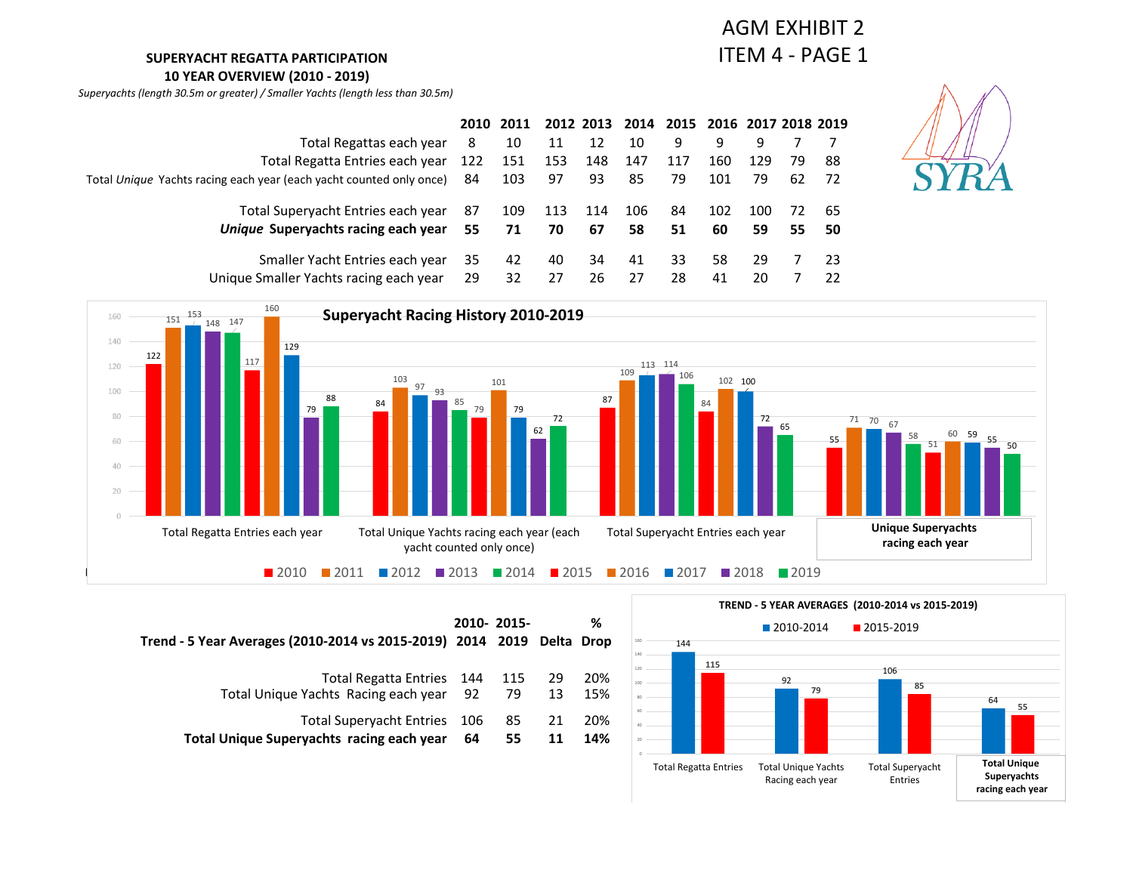### **SUPERYACHT REGATTA PARTICIPATION**

**10 YEAR OVERVIEW (2010 - 2019)**

*Superyachts (length 30.5m or greater) / Smaller Yachts (length less than 30.5m)*

## AGM EXHIBIT 2 ITEM 4 - PAGE 1

|                                                                        |    | 2010 2011 |     |     | 2012 2013 2014 2015 2016 2017 2018 2019 |     |     |     |    |      |
|------------------------------------------------------------------------|----|-----------|-----|-----|-----------------------------------------|-----|-----|-----|----|------|
| Total Regattas each year                                               | 8  | 10        | 11  | 12  | 10                                      | 9   | 9   | 9   |    |      |
| Total Regatta Entries each year 122                                    |    | 151       | 153 | 148 | 147                                     | 117 | 160 | 129 | 79 | -88  |
| Total Unique Yachts racing each year (each yacht counted only once) 84 |    | 103       | 97  | 93  | 85                                      | 79  | 101 | 79  | 62 | - 72 |
| Total Superyacht Entries each year                                     | 87 | 109       | 113 | 114 | 106                                     | 84  | 102 | 100 | 72 | -65  |
| Unique Superyachts racing each year                                    | 55 | 71        | 70  | 67  | 58                                      | 51  | 60  | 59  | 55 | 50   |
| Smaller Yacht Entries each year                                        | 35 | 42        | 40  | 34  | 41                                      | 33  | 58  | 29  |    | -23  |
| Unique Smaller Yachts racing each year                                 | 29 | 32        | 27  | 26  | 27                                      | 28  | 41  | 20  |    | 22   |





| Trend - 5 Year Averages (2010-2014 vs 2015-2019) 2014 2019 Delta Drop | 2010-2015- |     |     | ℅   |
|-----------------------------------------------------------------------|------------|-----|-----|-----|
| Total Regatta Entries 144                                             |            | 115 | -29 | 20% |
| Total Unique Yachts Racing each year 92                               |            | 79  | 13  | 15% |
| Total Superyacht Entries 106                                          | - 64       | 85  | 21  | 20% |
| Total Unique Superyachts racing each year                             |            | 55  | 11  | 14% |